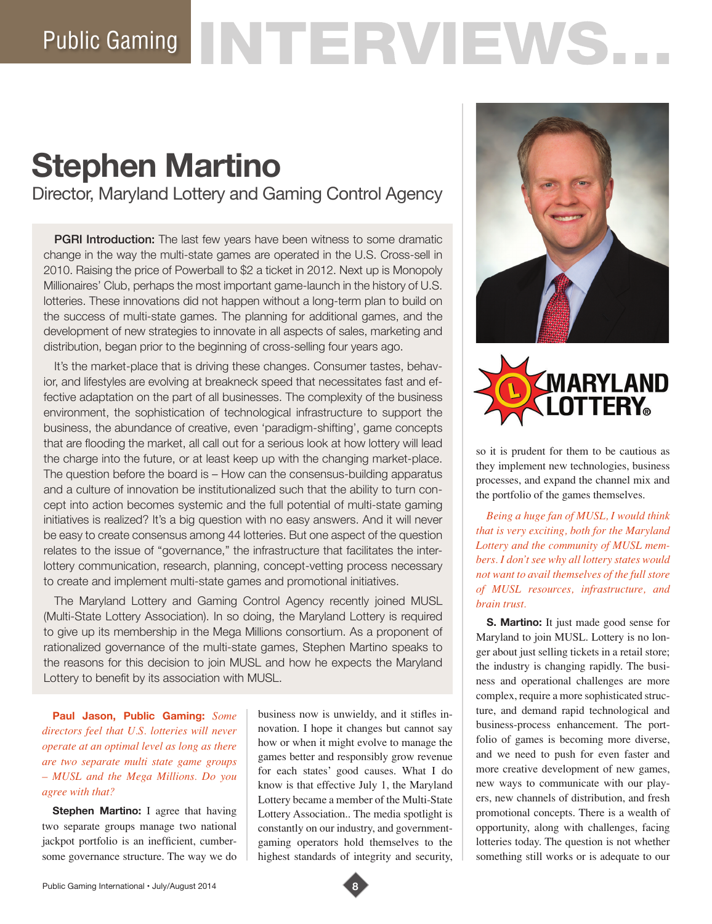# Public Gaming NTERVIEWS.

# **Stephen Martino**

Director, Maryland Lottery and Gaming Control Agency

**PGRI Introduction:** The last few years have been witness to some dramatic change in the way the multi-state games are operated in the U.S. Cross-sell in 2010. Raising the price of Powerball to \$2 a ticket in 2012. Next up is Monopoly Millionaires' Club, perhaps the most important game-launch in the history of U.S. lotteries. These innovations did not happen without a long-term plan to build on the success of multi-state games. The planning for additional games, and the development of new strategies to innovate in all aspects of sales, marketing and distribution, began prior to the beginning of cross-selling four years ago.

It's the market-place that is driving these changes. Consumer tastes, behavior, and lifestyles are evolving at breakneck speed that necessitates fast and effective adaptation on the part of all businesses. The complexity of the business environment, the sophistication of technological infrastructure to support the business, the abundance of creative, even 'paradigm-shifting', game concepts that are flooding the market, all call out for a serious look at how lottery will lead the charge into the future, or at least keep up with the changing market-place. The question before the board is – How can the consensus-building apparatus and a culture of innovation be institutionalized such that the ability to turn concept into action becomes systemic and the full potential of multi-state gaming initiatives is realized? It's a big question with no easy answers. And it will never be easy to create consensus among 44 lotteries. But one aspect of the question relates to the issue of "governance," the infrastructure that facilitates the interlottery communication, research, planning, concept-vetting process necessary to create and implement multi-state games and promotional initiatives.

The Maryland Lottery and Gaming Control Agency recently joined MUSL (Multi-State Lottery Association). In so doing, the Maryland Lottery is required to give up its membership in the Mega Millions consortium. As a proponent of rationalized governance of the multi-state games, Stephen Martino speaks to the reasons for this decision to join MUSL and how he expects the Maryland Lottery to benefit by its association with MUSL.

**Paul Jason, Public Gaming:** *Some directors feel that U.S. lotteries will never operate at an optimal level as long as there are two separate multi state game groups – MUSL and the Mega Millions. Do you agree with that?* 

**Stephen Martino:** I agree that having two separate groups manage two national jackpot portfolio is an inefficient, cumbersome governance structure. The way we do

business now is unwieldy, and it stifles innovation. I hope it changes but cannot say how or when it might evolve to manage the games better and responsibly grow revenue for each states' good causes. What I do know is that effective July 1, the Maryland Lottery became a member of the Multi-State Lottery Association.. The media spotlight is constantly on our industry, and governmentgaming operators hold themselves to the highest standards of integrity and security,





so it is prudent for them to be cautious as they implement new technologies, business processes, and expand the channel mix and the portfolio of the games themselves.

*Being a huge fan of MUSL, I would think that is very exciting, both for the Maryland Lottery and the community of MUSL members. I don't see why all lottery states would not want to avail themselves of the full store of MUSL resources, infrastructure, and brain trust.* 

**S. Martino:** It just made good sense for Maryland to join MUSL. Lottery is no longer about just selling tickets in a retail store; the industry is changing rapidly. The business and operational challenges are more complex, require a more sophisticated structure, and demand rapid technological and business-process enhancement. The portfolio of games is becoming more diverse, and we need to push for even faster and more creative development of new games, new ways to communicate with our players, new channels of distribution, and fresh promotional concepts. There is a wealth of opportunity, along with challenges, facing lotteries today. The question is not whether something still works or is adequate to our

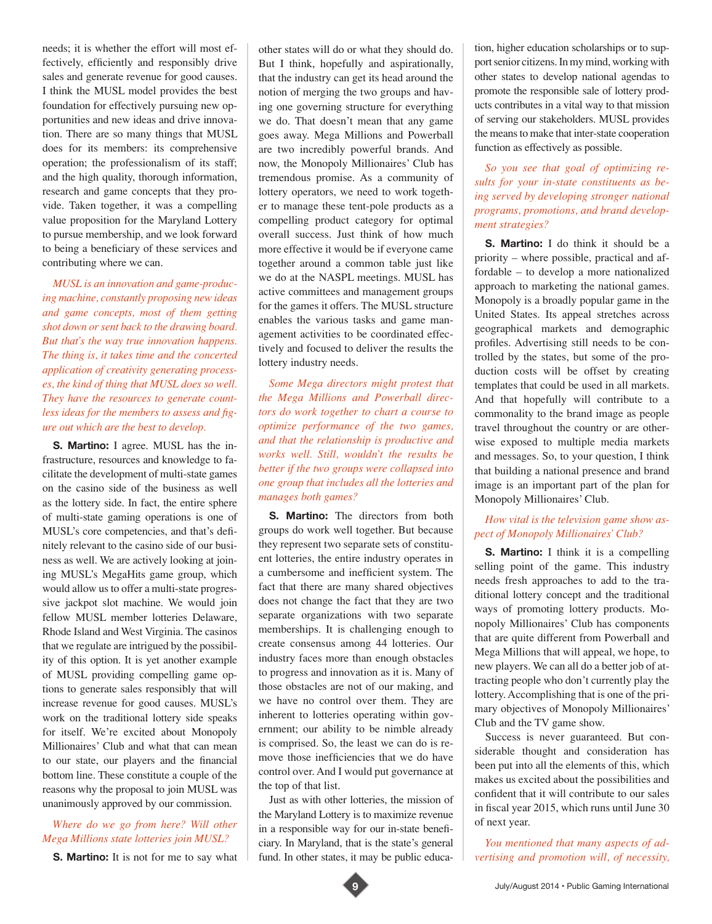needs; it is whether the effort will most effectively, efficiently and responsibly drive sales and generate revenue for good causes. I think the MUSL model provides the best foundation for effectively pursuing new opportunities and new ideas and drive innovation. There are so many things that MUSL does for its members: its comprehensive operation; the professionalism of its staff; and the high quality, thorough information, research and game concepts that they provide. Taken together, it was a compelling value proposition for the Maryland Lottery to pursue membership, and we look forward to being a beneficiary of these services and contributing where we can.

*MUSL is an innovation and game-producing machine, constantly proposing new ideas and game concepts, most of them getting shot down or sent back to the drawing board. But that's the way true innovation happens. The thing is, it takes time and the concerted application of creativity generating processes, the kind of thing that MUSL does so well. They have the resources to generate countless ideas for the members to assess and figure out which are the best to develop.* 

**S. Martino:** I agree. MUSL has the infrastructure, resources and knowledge to facilitate the development of multi-state games on the casino side of the business as well as the lottery side. In fact, the entire sphere of multi-state gaming operations is one of MUSL's core competencies, and that's definitely relevant to the casino side of our business as well. We are actively looking at joining MUSL's MegaHits game group, which would allow us to offer a multi-state progressive jackpot slot machine. We would join fellow MUSL member lotteries Delaware, Rhode Island and West Virginia. The casinos that we regulate are intrigued by the possibility of this option. It is yet another example of MUSL providing compelling game options to generate sales responsibly that will increase revenue for good causes. MUSL's work on the traditional lottery side speaks for itself. We're excited about Monopoly Millionaires' Club and what that can mean to our state, our players and the financial bottom line. These constitute a couple of the reasons why the proposal to join MUSL was unanimously approved by our commission.

## *Where do we go from here? Will other Mega Millions state lotteries join MUSL?*

**S. Martino:** It is not for me to say what

other states will do or what they should do. But I think, hopefully and aspirationally, that the industry can get its head around the notion of merging the two groups and having one governing structure for everything we do. That doesn't mean that any game goes away. Mega Millions and Powerball are two incredibly powerful brands. And now, the Monopoly Millionaires' Club has tremendous promise. As a community of lottery operators, we need to work together to manage these tent-pole products as a compelling product category for optimal overall success. Just think of how much more effective it would be if everyone came together around a common table just like we do at the NASPL meetings. MUSL has active committees and management groups for the games it offers. The MUSL structure enables the various tasks and game management activities to be coordinated effectively and focused to deliver the results the lottery industry needs.

*Some Mega directors might protest that the Mega Millions and Powerball directors do work together to chart a course to optimize performance of the two games, and that the relationship is productive and works well. Still, wouldn't the results be better if the two groups were collapsed into one group that includes all the lotteries and manages both games?* 

**S. Martino:** The directors from both groups do work well together. But because they represent two separate sets of constituent lotteries, the entire industry operates in a cumbersome and inefficient system. The fact that there are many shared objectives does not change the fact that they are two separate organizations with two separate memberships. It is challenging enough to create consensus among 44 lotteries. Our industry faces more than enough obstacles to progress and innovation as it is. Many of those obstacles are not of our making, and we have no control over them. They are inherent to lotteries operating within government; our ability to be nimble already is comprised. So, the least we can do is remove those inefficiencies that we do have control over. And I would put governance at the top of that list.

Just as with other lotteries, the mission of the Maryland Lottery is to maximize revenue in a responsible way for our in-state beneficiary. In Maryland, that is the state's general fund. In other states, it may be public education, higher education scholarships or to support senior citizens. In my mind, working with other states to develop national agendas to promote the responsible sale of lottery products contributes in a vital way to that mission of serving our stakeholders. MUSL provides the means to make that inter-state cooperation function as effectively as possible.

### *So you see that goal of optimizing results for your in-state constituents as being served by developing stronger national programs, promotions, and brand development strategies?*

**S. Martino:** I do think it should be a priority – where possible, practical and affordable – to develop a more nationalized approach to marketing the national games. Monopoly is a broadly popular game in the United States. Its appeal stretches across geographical markets and demographic profiles. Advertising still needs to be controlled by the states, but some of the production costs will be offset by creating templates that could be used in all markets. And that hopefully will contribute to a commonality to the brand image as people travel throughout the country or are otherwise exposed to multiple media markets and messages. So, to your question, I think that building a national presence and brand image is an important part of the plan for Monopoly Millionaires' Club.

#### *How vital is the television game show aspect of Monopoly Millionaires' Club?*

**S. Martino:** I think it is a compelling selling point of the game. This industry needs fresh approaches to add to the traditional lottery concept and the traditional ways of promoting lottery products. Monopoly Millionaires' Club has components that are quite different from Powerball and Mega Millions that will appeal, we hope, to new players. We can all do a better job of attracting people who don't currently play the lottery. Accomplishing that is one of the primary objectives of Monopoly Millionaires' Club and the TV game show.

Success is never guaranteed. But considerable thought and consideration has been put into all the elements of this, which makes us excited about the possibilities and confident that it will contribute to our sales in fiscal year 2015, which runs until June 30 of next year.

*You mentioned that many aspects of advertising and promotion will, of necessity,*